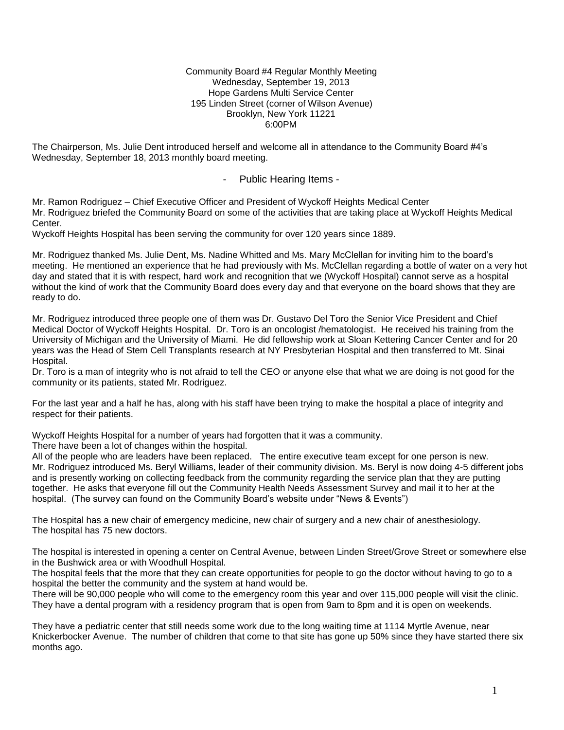Community Board #4 Regular Monthly Meeting Wednesday, September 19, 2013 Hope Gardens Multi Service Center 195 Linden Street (corner of Wilson Avenue) Brooklyn, New York 11221 6:00PM

The Chairperson, Ms. Julie Dent introduced herself and welcome all in attendance to the Community Board #4's Wednesday, September 18, 2013 monthly board meeting.

# - Public Hearing Items -

Mr. Ramon Rodriguez – Chief Executive Officer and President of Wyckoff Heights Medical Center Mr. Rodriguez briefed the Community Board on some of the activities that are taking place at Wyckoff Heights Medical Center.

Wyckoff Heights Hospital has been serving the community for over 120 years since 1889.

Mr. Rodriguez thanked Ms. Julie Dent, Ms. Nadine Whitted and Ms. Mary McClellan for inviting him to the board's meeting. He mentioned an experience that he had previously with Ms. McClellan regarding a bottle of water on a very hot day and stated that it is with respect, hard work and recognition that we (Wyckoff Hospital) cannot serve as a hospital without the kind of work that the Community Board does every day and that everyone on the board shows that they are ready to do.

Mr. Rodriguez introduced three people one of them was Dr. Gustavo Del Toro the Senior Vice President and Chief Medical Doctor of Wyckoff Heights Hospital. Dr. Toro is an oncologist /hematologist. He received his training from the University of Michigan and the University of Miami. He did fellowship work at Sloan Kettering Cancer Center and for 20 years was the Head of Stem Cell Transplants research at NY Presbyterian Hospital and then transferred to Mt. Sinai Hospital.

Dr. Toro is a man of integrity who is not afraid to tell the CEO or anyone else that what we are doing is not good for the community or its patients, stated Mr. Rodriguez.

For the last year and a half he has, along with his staff have been trying to make the hospital a place of integrity and respect for their patients.

Wyckoff Heights Hospital for a number of years had forgotten that it was a community.

There have been a lot of changes within the hospital.

All of the people who are leaders have been replaced. The entire executive team except for one person is new. Mr. Rodriguez introduced Ms. Beryl Williams, leader of their community division. Ms. Beryl is now doing 4-5 different jobs and is presently working on collecting feedback from the community regarding the service plan that they are putting together. He asks that everyone fill out the Community Health Needs Assessment Survey and mail it to her at the hospital. (The survey can found on the Community Board's website under "News & Events")

The Hospital has a new chair of emergency medicine, new chair of surgery and a new chair of anesthesiology. The hospital has 75 new doctors.

The hospital is interested in opening a center on Central Avenue, between Linden Street/Grove Street or somewhere else in the Bushwick area or with Woodhull Hospital.

The hospital feels that the more that they can create opportunities for people to go the doctor without having to go to a hospital the better the community and the system at hand would be.

There will be 90,000 people who will come to the emergency room this year and over 115,000 people will visit the clinic. They have a dental program with a residency program that is open from 9am to 8pm and it is open on weekends.

They have a pediatric center that still needs some work due to the long waiting time at 1114 Myrtle Avenue, near Knickerbocker Avenue. The number of children that come to that site has gone up 50% since they have started there six months ago.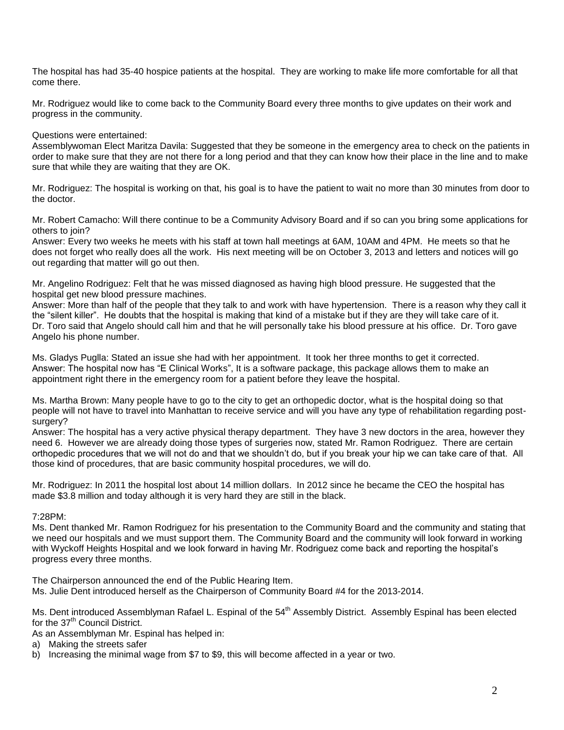The hospital has had 35-40 hospice patients at the hospital. They are working to make life more comfortable for all that come there.

Mr. Rodriguez would like to come back to the Community Board every three months to give updates on their work and progress in the community.

Questions were entertained:

Assemblywoman Elect Maritza Davila: Suggested that they be someone in the emergency area to check on the patients in order to make sure that they are not there for a long period and that they can know how their place in the line and to make sure that while they are waiting that they are OK.

Mr. Rodriguez: The hospital is working on that, his goal is to have the patient to wait no more than 30 minutes from door to the doctor.

Mr. Robert Camacho: Will there continue to be a Community Advisory Board and if so can you bring some applications for others to join?

Answer: Every two weeks he meets with his staff at town hall meetings at 6AM, 10AM and 4PM. He meets so that he does not forget who really does all the work. His next meeting will be on October 3, 2013 and letters and notices will go out regarding that matter will go out then.

Mr. Angelino Rodriguez: Felt that he was missed diagnosed as having high blood pressure. He suggested that the hospital get new blood pressure machines.

Answer: More than half of the people that they talk to and work with have hypertension. There is a reason why they call it the "silent killer". He doubts that the hospital is making that kind of a mistake but if they are they will take care of it. Dr. Toro said that Angelo should call him and that he will personally take his blood pressure at his office. Dr. Toro gave Angelo his phone number.

Ms. Gladys Puglla: Stated an issue she had with her appointment. It took her three months to get it corrected. Answer: The hospital now has "E Clinical Works", It is a software package, this package allows them to make an appointment right there in the emergency room for a patient before they leave the hospital.

Ms. Martha Brown: Many people have to go to the city to get an orthopedic doctor, what is the hospital doing so that people will not have to travel into Manhattan to receive service and will you have any type of rehabilitation regarding postsurgery?

Answer: The hospital has a very active physical therapy department. They have 3 new doctors in the area, however they need 6. However we are already doing those types of surgeries now, stated Mr. Ramon Rodriguez. There are certain orthopedic procedures that we will not do and that we shouldn't do, but if you break your hip we can take care of that. All those kind of procedures, that are basic community hospital procedures, we will do.

Mr. Rodriguez: In 2011 the hospital lost about 14 million dollars. In 2012 since he became the CEO the hospital has made \$3.8 million and today although it is very hard they are still in the black.

7:28PM:

Ms. Dent thanked Mr. Ramon Rodriguez for his presentation to the Community Board and the community and stating that we need our hospitals and we must support them. The Community Board and the community will look forward in working with Wyckoff Heights Hospital and we look forward in having Mr. Rodriguez come back and reporting the hospital's progress every three months.

The Chairperson announced the end of the Public Hearing Item. Ms. Julie Dent introduced herself as the Chairperson of Community Board #4 for the 2013-2014.

Ms. Dent introduced Assemblyman Rafael L. Espinal of the 54<sup>th</sup> Assembly District. Assembly Espinal has been elected for the 37<sup>th</sup> Council District.

As an Assemblyman Mr. Espinal has helped in:

- a) Making the streets safer
- b) Increasing the minimal wage from \$7 to \$9, this will become affected in a year or two.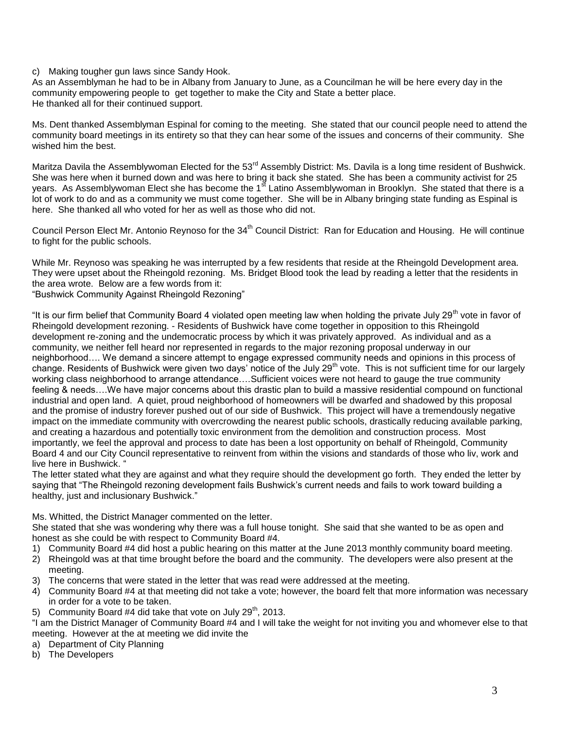### c) Making tougher gun laws since Sandy Hook.

As an Assemblyman he had to be in Albany from January to June, as a Councilman he will be here every day in the community empowering people to get together to make the City and State a better place. He thanked all for their continued support.

Ms. Dent thanked Assemblyman Espinal for coming to the meeting. She stated that our council people need to attend the community board meetings in its entirety so that they can hear some of the issues and concerns of their community. She wished him the best.

Maritza Davila the Assemblywoman Elected for the 53<sup>rd</sup> Assembly District: Ms. Davila is a long time resident of Bushwick. She was here when it burned down and was here to bring it back she stated. She has been a community activist for 25 years. As Assemblywoman Elect she has become the 1<sup>st</sup> Latino Assemblywoman in Brooklyn. She stated that there is a lot of work to do and as a community we must come together. She will be in Albany bringing state funding as Espinal is here. She thanked all who voted for her as well as those who did not.

Council Person Elect Mr. Antonio Revnoso for the 34<sup>th</sup> Council District: Ran for Education and Housing. He will continue to fight for the public schools.

While Mr. Reynoso was speaking he was interrupted by a few residents that reside at the Rheingold Development area. They were upset about the Rheingold rezoning. Ms. Bridget Blood took the lead by reading a letter that the residents in the area wrote. Below are a few words from it:

"Bushwick Community Against Rheingold Rezoning"

"It is our firm belief that Community Board 4 violated open meeting law when holding the private July 29<sup>th</sup> vote in favor of Rheingold development rezoning. - Residents of Bushwick have come together in opposition to this Rheingold development re-zoning and the undemocratic process by which it was privately approved. As individual and as a community, we neither fell heard nor represented in regards to the major rezoning proposal underway in our neighborhood…. We demand a sincere attempt to engage expressed community needs and opinions in this process of change. Residents of Bushwick were given two days' notice of the July  $29<sup>th</sup>$  vote. This is not sufficient time for our largely working class neighborhood to arrange attendance….Sufficient voices were not heard to gauge the true community feeling & needs….We have major concerns about this drastic plan to build a massive residential compound on functional industrial and open land. A quiet, proud neighborhood of homeowners will be dwarfed and shadowed by this proposal and the promise of industry forever pushed out of our side of Bushwick. This project will have a tremendously negative impact on the immediate community with overcrowding the nearest public schools, drastically reducing available parking, and creating a hazardous and potentially toxic environment from the demolition and construction process. Most importantly, we feel the approval and process to date has been a lost opportunity on behalf of Rheingold, Community Board 4 and our City Council representative to reinvent from within the visions and standards of those who liv, work and live here in Bushwick. "

The letter stated what they are against and what they require should the development go forth. They ended the letter by saying that "The Rheingold rezoning development fails Bushwick's current needs and fails to work toward building a healthy, just and inclusionary Bushwick."

### Ms. Whitted, the District Manager commented on the letter.

She stated that she was wondering why there was a full house tonight. She said that she wanted to be as open and honest as she could be with respect to Community Board #4.

- 1) Community Board #4 did host a public hearing on this matter at the June 2013 monthly community board meeting.
- 2) Rheingold was at that time brought before the board and the community. The developers were also present at the meeting.
- 3) The concerns that were stated in the letter that was read were addressed at the meeting.
- 4) Community Board #4 at that meeting did not take a vote; however, the board felt that more information was necessary in order for a vote to be taken.
- 5) Community Board #4 did take that vote on July  $29<sup>th</sup>$ , 2013.

"I am the District Manager of Community Board #4 and I will take the weight for not inviting you and whomever else to that meeting. However at the at meeting we did invite the

- a) Department of City Planning
- b) The Developers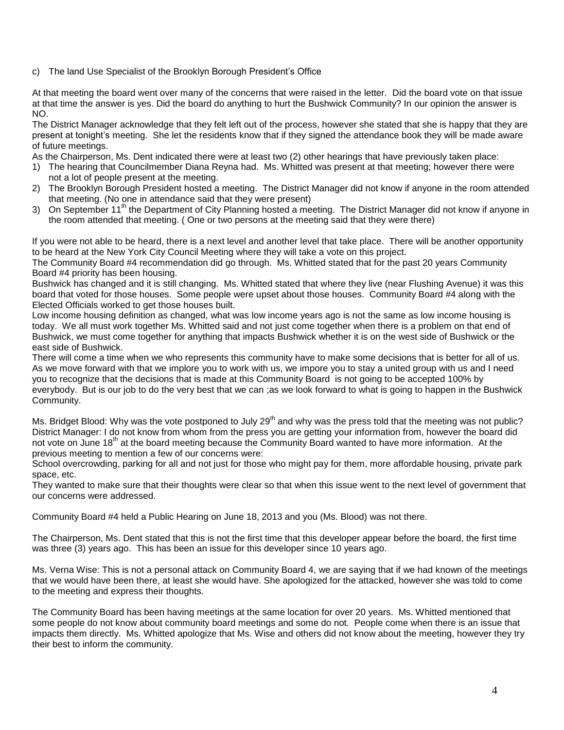c) The land Use Specialist of the Brooklyn Borough President's Office

At that meeting the board went over many of the concerns that were raised in the letter. Did the board vote on that issue at that time the answer is yes. Did the board do anything to hurt the Bushwick Community? In our opinion the answer is NO.

The District Manager acknowledge that they felt left out of the process, however she stated that she is happy that they are present at tonight's meeting. She let the residents know that if they signed the attendance book they will be made aware of future meetings.

As the Chairperson, Ms. Dent indicated there were at least two (2) other hearings that have previously taken place:

- 1) The hearing that Councilmember Diana Reyna had. Ms. Whitted was present at that meeting; however there were not a lot of people present at the meeting.
- 2) The Brooklyn Borough President hosted a meeting. The District Manager did not know if anyone in the room attended that meeting. (No one in attendance said that they were present)
- 3) On September 11<sup>th</sup> the Department of City Planning hosted a meeting. The District Manager did not know if anyone in the room attended that meeting. ( One or two persons at the meeting said that they were there)

If you were not able to be heard, there is a next level and another level that take place. There will be another opportunity to be heard at the New York City Council Meeting where they will take a vote on this project.

The Community Board #4 recommendation did go through. Ms. Whitted stated that for the past 20 years Community Board #4 priority has been housing.

Bushwick has changed and it is still changing. Ms. Whitted stated that where they live (near Flushing Avenue) it was this board that voted for those houses. Some people were upset about those houses. Community Board #4 along with the Elected Officials worked to get those houses built.

Low income housing definition as changed, what was low income years ago is not the same as low income housing is today. We all must work together Ms. Whitted said and not just come together when there is a problem on that end of Bushwick, we must come together for anything that impacts Bushwick whether it is on the west side of Bushwick or the east side of Bushwick.

There will come a time when we who represents this community have to make some decisions that is better for all of us. As we move forward with that we implore you to work with us, we impore you to stay a united group with us and I need you to recognize that the decisions that is made at this Community Board is not going to be accepted 100% by everybody. But is our job to do the very best that we can ;as we look forward to what is going to happen in the Bushwick Community.

Ms. Bridget Blood: Why was the vote postponed to July 29<sup>th</sup> and why was the press told that the meeting was not public? District Manager: I do not know from whom from the press you are getting your information from, however the board did not vote on June 18<sup>th</sup> at the board meeting because the Community Board wanted to have more information. At the previous meeting to mention a few of our concerns were:

School overcrowding, parking for all and not just for those who might pay for them, more affordable housing, private park space, etc.

They wanted to make sure that their thoughts were clear so that when this issue went to the next level of government that our concerns were addressed.

Community Board #4 held a Public Hearing on June 18, 2013 and you (Ms. Blood) was not there.

The Chairperson, Ms. Dent stated that this is not the first time that this developer appear before the board, the first time was three (3) years ago. This has been an issue for this developer since 10 years ago.

Ms. Verna Wise: This is not a personal attack on Community Board 4, we are saying that if we had known of the meetings that we would have been there, at least she would have. She apologized for the attacked, however she was told to come to the meeting and express their thoughts.

The Community Board has been having meetings at the same location for over 20 years. Ms. Whitted mentioned that some people do not know about community board meetings and some do not. People come when there is an issue that impacts them directly. Ms. Whitted apologize that Ms. Wise and others did not know about the meeting, however they try their best to inform the community.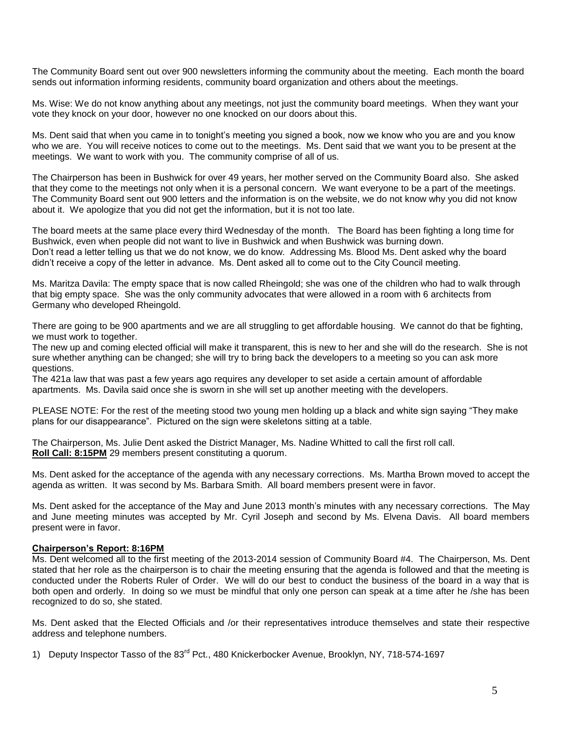The Community Board sent out over 900 newsletters informing the community about the meeting. Each month the board sends out information informing residents, community board organization and others about the meetings.

Ms. Wise: We do not know anything about any meetings, not just the community board meetings. When they want your vote they knock on your door, however no one knocked on our doors about this.

Ms. Dent said that when you came in to tonight's meeting you signed a book, now we know who you are and you know who we are. You will receive notices to come out to the meetings. Ms. Dent said that we want you to be present at the meetings. We want to work with you. The community comprise of all of us.

The Chairperson has been in Bushwick for over 49 years, her mother served on the Community Board also. She asked that they come to the meetings not only when it is a personal concern. We want everyone to be a part of the meetings. The Community Board sent out 900 letters and the information is on the website, we do not know why you did not know about it. We apologize that you did not get the information, but it is not too late.

The board meets at the same place every third Wednesday of the month. The Board has been fighting a long time for Bushwick, even when people did not want to live in Bushwick and when Bushwick was burning down. Don't read a letter telling us that we do not know, we do know. Addressing Ms. Blood Ms. Dent asked why the board didn't receive a copy of the letter in advance. Ms. Dent asked all to come out to the City Council meeting.

Ms. Maritza Davila: The empty space that is now called Rheingold; she was one of the children who had to walk through that big empty space. She was the only community advocates that were allowed in a room with 6 architects from Germany who developed Rheingold.

There are going to be 900 apartments and we are all struggling to get affordable housing. We cannot do that be fighting, we must work to together.

The new up and coming elected official will make it transparent, this is new to her and she will do the research. She is not sure whether anything can be changed; she will try to bring back the developers to a meeting so you can ask more questions.

The 421a law that was past a few years ago requires any developer to set aside a certain amount of affordable apartments. Ms. Davila said once she is sworn in she will set up another meeting with the developers.

PLEASE NOTE: For the rest of the meeting stood two young men holding up a black and white sign saying "They make plans for our disappearance". Pictured on the sign were skeletons sitting at a table.

The Chairperson, Ms. Julie Dent asked the District Manager, Ms. Nadine Whitted to call the first roll call. **Roll Call: 8:15PM** 29 members present constituting a quorum.

Ms. Dent asked for the acceptance of the agenda with any necessary corrections. Ms. Martha Brown moved to accept the agenda as written. It was second by Ms. Barbara Smith. All board members present were in favor.

Ms. Dent asked for the acceptance of the May and June 2013 month's minutes with any necessary corrections. The May and June meeting minutes was accepted by Mr. Cyril Joseph and second by Ms. Elvena Davis. All board members present were in favor.

#### **Chairperson's Report: 8:16PM**

Ms. Dent welcomed all to the first meeting of the 2013-2014 session of Community Board #4. The Chairperson, Ms. Dent stated that her role as the chairperson is to chair the meeting ensuring that the agenda is followed and that the meeting is conducted under the Roberts Ruler of Order. We will do our best to conduct the business of the board in a way that is both open and orderly. In doing so we must be mindful that only one person can speak at a time after he /she has been recognized to do so, she stated.

Ms. Dent asked that the Elected Officials and /or their representatives introduce themselves and state their respective address and telephone numbers.

1) Deputy Inspector Tasso of the 83<sup>rd</sup> Pct., 480 Knickerbocker Avenue, Brooklyn, NY, 718-574-1697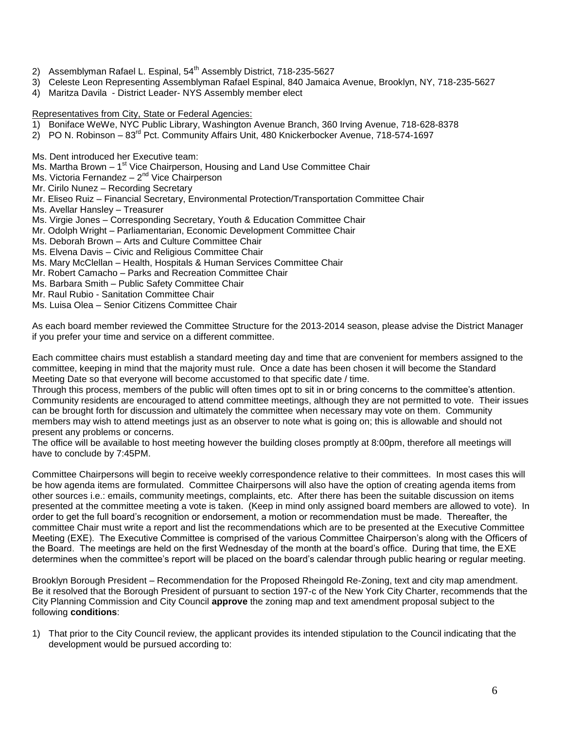- 2) Assemblyman Rafael L. Espinal, 54<sup>th</sup> Assembly District, 718-235-5627
- 3) Celeste Leon Representing Assemblyman Rafael Espinal, 840 Jamaica Avenue, Brooklyn, NY, 718-235-5627
- 4) Maritza Davila District Leader- NYS Assembly member elect
- Representatives from City, State or Federal Agencies:
- 1) Boniface WeWe, NYC Public Library, Washington Avenue Branch, 360 Irving Avenue, 718-628-8378
- 2) PO N. Robinson  $-83<sup>rd</sup>$  Pct. Community Affairs Unit, 480 Knickerbocker Avenue, 718-574-1697
- Ms. Dent introduced her Executive team:
- Ms. Martha Brown 1<sup>st</sup> Vice Chairperson, Housing and Land Use Committee Chair
- Ms. Victoria Fernandez 2<sup>nd</sup> Vice Chairperson
- Mr. Cirilo Nunez Recording Secretary
- Mr. Eliseo Ruiz Financial Secretary, Environmental Protection/Transportation Committee Chair
- Ms. Avellar Hansley Treasurer
- Ms. Virgie Jones Corresponding Secretary, Youth & Education Committee Chair
- Mr. Odolph Wright Parliamentarian, Economic Development Committee Chair
- Ms. Deborah Brown Arts and Culture Committee Chair
- Ms. Elvena Davis Civic and Religious Committee Chair
- Ms. Mary McClellan Health, Hospitals & Human Services Committee Chair
- Mr. Robert Camacho Parks and Recreation Committee Chair
- Ms. Barbara Smith Public Safety Committee Chair
- Mr. Raul Rubio Sanitation Committee Chair
- Ms. Luisa Olea Senior Citizens Committee Chair

As each board member reviewed the Committee Structure for the 2013-2014 season, please advise the District Manager if you prefer your time and service on a different committee.

Each committee chairs must establish a standard meeting day and time that are convenient for members assigned to the committee, keeping in mind that the majority must rule. Once a date has been chosen it will become the Standard Meeting Date so that everyone will become accustomed to that specific date / time.

Through this process, members of the public will often times opt to sit in or bring concerns to the committee's attention. Community residents are encouraged to attend committee meetings, although they are not permitted to vote. Their issues can be brought forth for discussion and ultimately the committee when necessary may vote on them. Community members may wish to attend meetings just as an observer to note what is going on; this is allowable and should not present any problems or concerns.

The office will be available to host meeting however the building closes promptly at 8:00pm, therefore all meetings will have to conclude by 7:45PM.

Committee Chairpersons will begin to receive weekly correspondence relative to their committees. In most cases this will be how agenda items are formulated. Committee Chairpersons will also have the option of creating agenda items from other sources i.e.: emails, community meetings, complaints, etc. After there has been the suitable discussion on items presented at the committee meeting a vote is taken. (Keep in mind only assigned board members are allowed to vote). In order to get the full board's recognition or endorsement, a motion or recommendation must be made. Thereafter, the committee Chair must write a report and list the recommendations which are to be presented at the Executive Committee Meeting (EXE). The Executive Committee is comprised of the various Committee Chairperson's along with the Officers of the Board. The meetings are held on the first Wednesday of the month at the board's office. During that time, the EXE determines when the committee's report will be placed on the board's calendar through public hearing or regular meeting.

Brooklyn Borough President – Recommendation for the Proposed Rheingold Re-Zoning, text and city map amendment. Be it resolved that the Borough President of pursuant to section 197-c of the New York City Charter, recommends that the City Planning Commission and City Council **approve** the zoning map and text amendment proposal subject to the following **conditions**:

1) That prior to the City Council review, the applicant provides its intended stipulation to the Council indicating that the development would be pursued according to: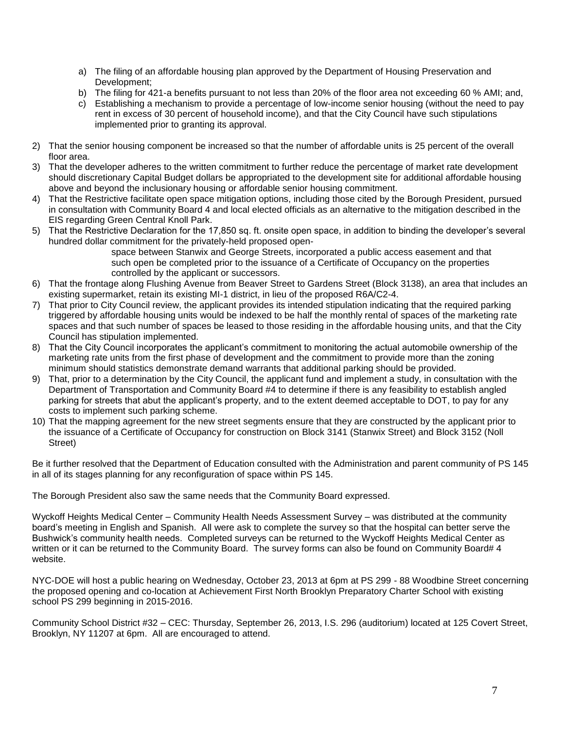- a) The filing of an affordable housing plan approved by the Department of Housing Preservation and Development;
- b) The filing for 421-a benefits pursuant to not less than 20% of the floor area not exceeding 60 % AMI; and,
- c) Establishing a mechanism to provide a percentage of low-income senior housing (without the need to pay rent in excess of 30 percent of household income), and that the City Council have such stipulations implemented prior to granting its approval.
- 2) That the senior housing component be increased so that the number of affordable units is 25 percent of the overall floor area.
- 3) That the developer adheres to the written commitment to further reduce the percentage of market rate development should discretionary Capital Budget dollars be appropriated to the development site for additional affordable housing above and beyond the inclusionary housing or affordable senior housing commitment.
- 4) That the Restrictive facilitate open space mitigation options, including those cited by the Borough President, pursued in consultation with Community Board 4 and local elected officials as an alternative to the mitigation described in the EIS regarding Green Central Knoll Park.
- 5) That the Restrictive Declaration for the 17,850 sq. ft. onsite open space, in addition to binding the developer's several hundred dollar commitment for the privately-held proposed open-

 space between Stanwix and George Streets, incorporated a public access easement and that such open be completed prior to the issuance of a Certificate of Occupancy on the properties controlled by the applicant or successors.

- 6) That the frontage along Flushing Avenue from Beaver Street to Gardens Street (Block 3138), an area that includes an existing supermarket, retain its existing MI-1 district, in lieu of the proposed R6A/C2-4.
- 7) That prior to City Council review, the applicant provides its intended stipulation indicating that the required parking triggered by affordable housing units would be indexed to be half the monthly rental of spaces of the marketing rate spaces and that such number of spaces be leased to those residing in the affordable housing units, and that the City Council has stipulation implemented.
- 8) That the City Council incorporates the applicant's commitment to monitoring the actual automobile ownership of the marketing rate units from the first phase of development and the commitment to provide more than the zoning minimum should statistics demonstrate demand warrants that additional parking should be provided.
- 9) That, prior to a determination by the City Council, the applicant fund and implement a study, in consultation with the Department of Transportation and Community Board #4 to determine if there is any feasibility to establish angled parking for streets that abut the applicant's property, and to the extent deemed acceptable to DOT, to pay for any costs to implement such parking scheme.
- 10) That the mapping agreement for the new street segments ensure that they are constructed by the applicant prior to the issuance of a Certificate of Occupancy for construction on Block 3141 (Stanwix Street) and Block 3152 (Noll Street)

Be it further resolved that the Department of Education consulted with the Administration and parent community of PS 145 in all of its stages planning for any reconfiguration of space within PS 145.

The Borough President also saw the same needs that the Community Board expressed.

Wyckoff Heights Medical Center – Community Health Needs Assessment Survey – was distributed at the community board's meeting in English and Spanish. All were ask to complete the survey so that the hospital can better serve the Bushwick's community health needs. Completed surveys can be returned to the Wyckoff Heights Medical Center as written or it can be returned to the Community Board. The survey forms can also be found on Community Board# 4 website.

NYC-DOE will host a public hearing on Wednesday, October 23, 2013 at 6pm at PS 299 - 88 Woodbine Street concerning the proposed opening and co-location at Achievement First North Brooklyn Preparatory Charter School with existing school PS 299 beginning in 2015-2016.

Community School District #32 – CEC: Thursday, September 26, 2013, I.S. 296 (auditorium) located at 125 Covert Street, Brooklyn, NY 11207 at 6pm. All are encouraged to attend.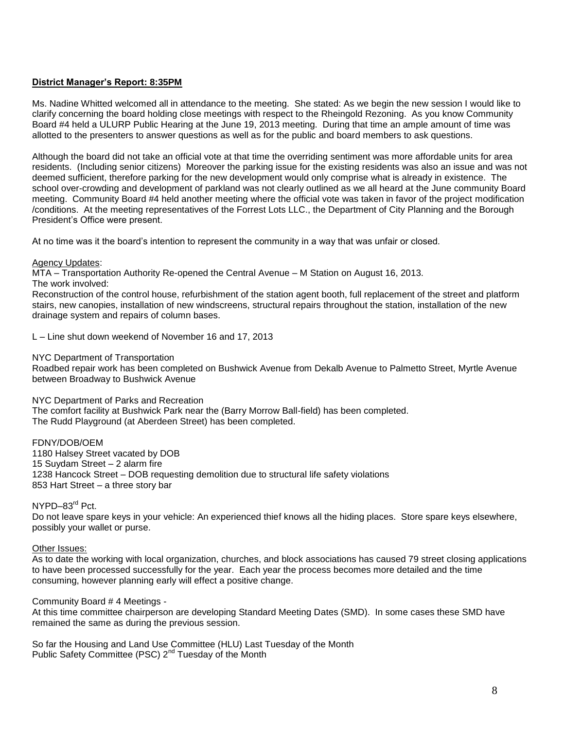### **District Manager's Report: 8:35PM**

Ms. Nadine Whitted welcomed all in attendance to the meeting. She stated: As we begin the new session I would like to clarify concerning the board holding close meetings with respect to the Rheingold Rezoning. As you know Community Board #4 held a ULURP Public Hearing at the June 19, 2013 meeting. During that time an ample amount of time was allotted to the presenters to answer questions as well as for the public and board members to ask questions.

Although the board did not take an official vote at that time the overriding sentiment was more affordable units for area residents. (Including senior citizens) Moreover the parking issue for the existing residents was also an issue and was not deemed sufficient, therefore parking for the new development would only comprise what is already in existence. The school over-crowding and development of parkland was not clearly outlined as we all heard at the June community Board meeting. Community Board #4 held another meeting where the official vote was taken in favor of the project modification /conditions. At the meeting representatives of the Forrest Lots LLC., the Department of City Planning and the Borough President's Office were present.

At no time was it the board's intention to represent the community in a way that was unfair or closed.

### Agency Updates:

MTA – Transportation Authority Re-opened the Central Avenue – M Station on August 16, 2013.

The work involved:

Reconstruction of the control house, refurbishment of the station agent booth, full replacement of the street and platform stairs, new canopies, installation of new windscreens, structural repairs throughout the station, installation of the new drainage system and repairs of column bases.

L – Line shut down weekend of November 16 and 17, 2013

### NYC Department of Transportation

Roadbed repair work has been completed on Bushwick Avenue from Dekalb Avenue to Palmetto Street, Myrtle Avenue between Broadway to Bushwick Avenue

NYC Department of Parks and Recreation

The comfort facility at Bushwick Park near the (Barry Morrow Ball-field) has been completed. The Rudd Playground (at Aberdeen Street) has been completed.

FDNY/DOB/OEM 1180 Halsey Street vacated by DOB 15 Suydam Street – 2 alarm fire 1238 Hancock Street – DOB requesting demolition due to structural life safety violations 853 Hart Street – a three story bar

NYPD–83rd Pct.

Do not leave spare keys in your vehicle: An experienced thief knows all the hiding places. Store spare keys elsewhere, possibly your wallet or purse.

Other Issues:

As to date the working with local organization, churches, and block associations has caused 79 street closing applications to have been processed successfully for the year. Each year the process becomes more detailed and the time consuming, however planning early will effect a positive change.

Community Board # 4 Meetings -

At this time committee chairperson are developing Standard Meeting Dates (SMD). In some cases these SMD have remained the same as during the previous session.

So far the Housing and Land Use Committee (HLU) Last Tuesday of the Month Public Safety Committee (PSC) 2<sup>nd</sup> Tuesday of the Month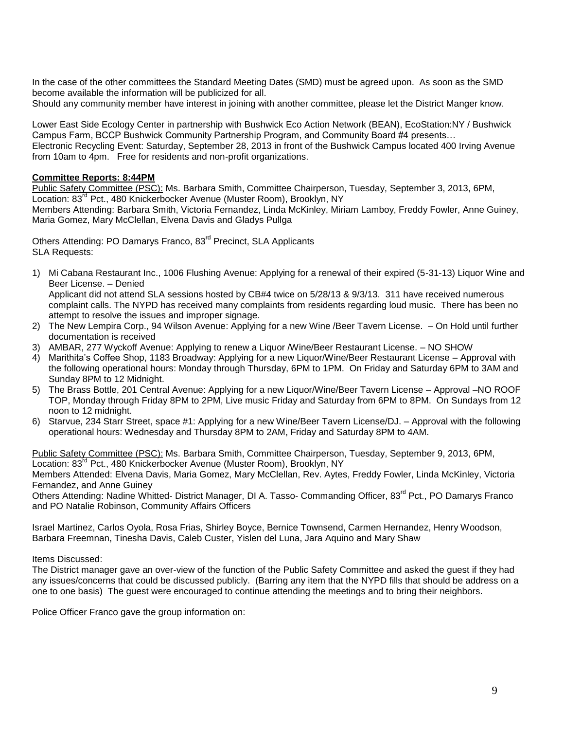In the case of the other committees the Standard Meeting Dates (SMD) must be agreed upon. As soon as the SMD become available the information will be publicized for all.

Should any community member have interest in joining with another committee, please let the District Manger know.

Lower East Side Ecology Center in partnership with Bushwick Eco Action Network (BEAN), EcoStation:NY / Bushwick Campus Farm, BCCP Bushwick Community Partnership Program, and Community Board #4 presents… Electronic Recycling Event: Saturday, September 28, 2013 in front of the Bushwick Campus located 400 Irving Avenue from 10am to 4pm. Free for residents and non-profit organizations.

## **Committee Reports: 8:44PM**

Public Safety Committee (PSC): Ms. Barbara Smith, Committee Chairperson, Tuesday, September 3, 2013, 6PM, Location: 83<sup>rd</sup> Pct., 480 Knickerbocker Avenue (Muster Room), Brooklyn, NY

Members Attending: Barbara Smith, Victoria Fernandez, Linda McKinley, Miriam Lamboy, Freddy Fowler, Anne Guiney, Maria Gomez, Mary McClellan, Elvena Davis and Gladys Pullga

Others Attending: PO Damarys Franco, 83<sup>rd</sup> Precinct, SLA Applicants SLA Requests:

1) Mi Cabana Restaurant Inc., 1006 Flushing Avenue: Applying for a renewal of their expired (5-31-13) Liquor Wine and Beer License. – Denied

Applicant did not attend SLA sessions hosted by CB#4 twice on 5/28/13 & 9/3/13. 311 have received numerous complaint calls. The NYPD has received many complaints from residents regarding loud music. There has been no attempt to resolve the issues and improper signage.

- 2) The New Lempira Corp., 94 Wilson Avenue: Applying for a new Wine /Beer Tavern License. On Hold until further documentation is received
- 3) AMBAR, 277 Wyckoff Avenue: Applying to renew a Liquor /Wine/Beer Restaurant License. NO SHOW
- 4) Marithita's Coffee Shop, 1183 Broadway: Applying for a new Liquor/Wine/Beer Restaurant License Approval with the following operational hours: Monday through Thursday, 6PM to 1PM. On Friday and Saturday 6PM to 3AM and Sunday 8PM to 12 Midnight.
- 5) The Brass Bottle, 201 Central Avenue: Applying for a new Liquor/Wine/Beer Tavern License Approval –NO ROOF TOP, Monday through Friday 8PM to 2PM, Live music Friday and Saturday from 6PM to 8PM. On Sundays from 12 noon to 12 midnight.
- 6) Starvue, 234 Starr Street, space #1: Applying for a new Wine/Beer Tavern License/DJ. Approval with the following operational hours: Wednesday and Thursday 8PM to 2AM, Friday and Saturday 8PM to 4AM.

Public Safety Committee (PSC): Ms. Barbara Smith, Committee Chairperson, Tuesday, September 9, 2013, 6PM, Location: 83<sup>rd</sup> Pct., 480 Knickerbocker Avenue (Muster Room), Brooklyn, NY Members Attended: Elvena Davis, Maria Gomez, Mary McClellan, Rev. Aytes, Freddy Fowler, Linda McKinley, Victoria

Fernandez, and Anne Guiney Others Attending: Nadine Whitted- District Manager, DI A. Tasso- Commanding Officer, 83<sup>rd</sup> Pct., PO Damarys Franco

and PO Natalie Robinson, Community Affairs Officers

Israel Martinez, Carlos Oyola, Rosa Frias, Shirley Boyce, Bernice Townsend, Carmen Hernandez, Henry Woodson, Barbara Freemnan, Tinesha Davis, Caleb Custer, Yislen del Luna, Jara Aquino and Mary Shaw

Items Discussed:

The District manager gave an over-view of the function of the Public Safety Committee and asked the guest if they had any issues/concerns that could be discussed publicly. (Barring any item that the NYPD fills that should be address on a one to one basis) The guest were encouraged to continue attending the meetings and to bring their neighbors.

Police Officer Franco gave the group information on: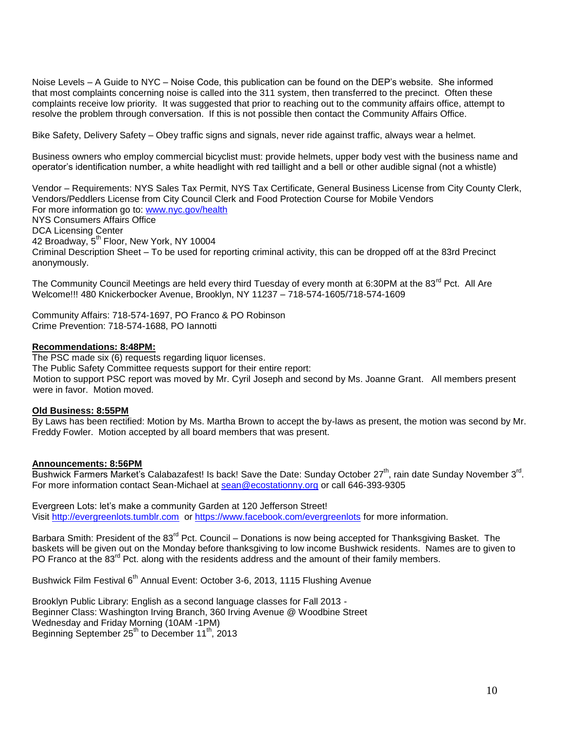Noise Levels – A Guide to NYC – Noise Code, this publication can be found on the DEP's website. She informed that most complaints concerning noise is called into the 311 system, then transferred to the precinct. Often these complaints receive low priority. It was suggested that prior to reaching out to the community affairs office, attempt to resolve the problem through conversation. If this is not possible then contact the Community Affairs Office.

Bike Safety, Delivery Safety – Obey traffic signs and signals, never ride against traffic, always wear a helmet.

Business owners who employ commercial bicyclist must: provide helmets, upper body vest with the business name and operator's identification number, a white headlight with red taillight and a bell or other audible signal (not a whistle)

Vendor – Requirements: NYS Sales Tax Permit, NYS Tax Certificate, General Business License from City County Clerk, Vendors/Peddlers License from City Council Clerk and Food Protection Course for Mobile Vendors For more information go to: [www.nyc.gov/health](http://www.nyc.gov/health) NYS Consumers Affairs Office DCA Licensing Center 42 Broadway,  $5^{th}$  Floor, New York, NY 10004 Criminal Description Sheet – To be used for reporting criminal activity, this can be dropped off at the 83rd Precinct anonymously.

The Community Council Meetings are held every third Tuesday of every month at 6:30PM at the 83<sup>rd</sup> Pct. All Are Welcome!!! 480 Knickerbocker Avenue, Brooklyn, NY 11237 – 718-574-1605/718-574-1609

Community Affairs: 718-574-1697, PO Franco & PO Robinson Crime Prevention: 718-574-1688, PO Iannotti

#### **Recommendations: 8:48PM:**

The PSC made six (6) requests regarding liquor licenses. The Public Safety Committee requests support for their entire report: Motion to support PSC report was moved by Mr. Cyril Joseph and second by Ms. Joanne Grant. All members present were in favor. Motion moved.

#### **Old Business: 8:55PM**

By Laws has been rectified: Motion by Ms. Martha Brown to accept the by-laws as present, the motion was second by Mr. Freddy Fowler. Motion accepted by all board members that was present.

#### **Announcements: 8:56PM**

Bushwick Farmers Market's Calabazafest! Is back! Save the Date: Sunday October 27<sup>th</sup>, rain date Sunday November 3<sup>rd</sup>. For more information contact Sean-Michael at [sean@ecostationny.org](mailto:sean@ecostationny.org) or call 646-393-9305

Evergreen Lots: let's make a community Garden at 120 Jefferson Street! Visit [http://evergreenlots.tumblr.com](http://evergreenlots.tumblr.com/) o[r https://www.facebook.com/evergreenlots](https://www.facebook.com/evergreenlots) for more information.

Barbara Smith: President of the 83<sup>rd</sup> Pct. Council – Donations is now being accepted for Thanksgiving Basket. The baskets will be given out on the Monday before thanksgiving to low income Bushwick residents. Names are to given to PO Franco at the 83<sup>rd</sup> Pct. along with the residents address and the amount of their family members.

Bushwick Film Festival 6<sup>th</sup> Annual Event: October 3-6, 2013, 1115 Flushing Avenue

Brooklyn Public Library: English as a second language classes for Fall 2013 - Beginner Class: Washington Irving Branch, 360 Irving Avenue @ Woodbine Street Wednesday and Friday Morning (10AM -1PM) Beginning September 25<sup>th</sup> to December 11<sup>th</sup>, 2013